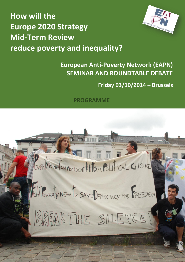



# **European Anti-Poverty Network (EAPN) SEMINAR AND ROUNDTABLE DEBATE**

# **Friday 03/10/2014 – Brussels**

## **PROGRAMME**

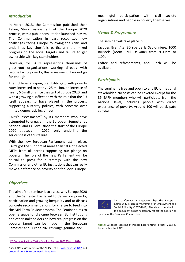#### *Introduction*

In March 2013, the Commission published their Taking Stock<sup>1</sup> assessment of the Europe 2020 process, with a public consultation launched in May. The Communication in part recognizes new challenges facing Europe following the crisis and underlines key shortfalls particularly the mixed progress on the social targets and failure to get ownership with key stakeholders.

However, for EAPN, representing thousands of grass-root organisations working directly with people facing poverty, this assessment does not go far enough.

The EU faces a gaping credibility gap, with poverty rates increased to nearly 125 million, an increase of nearly 6.6 million since the start of Europe 2020, and with a growing disaffection with the role that the EU itself appears to have played in the process: supporting austerity policies, with concerns over limited democratic legitimacy.

EAPN's assessments<sup>2</sup> by its members who have attempted to engage in the European Semester at national and EU level since the start of the Europe 2020 strategy in 2010, only underline the seriousness of this failure.

With the new European Parliament just in place, EAPN got the support of more than 10% of elected MEPs from all parties supporting our pledge on poverty. The role of the new Parliament will be crucial to press for a strategy with the new Commission and other EU institutions that can really make a difference on poverty and for Social Europe.

#### *Objectives*

 $\overline{a}$ 

The aim of the seminar is to assess why Europe 2020 and the Semester has failed to deliver on poverty, participation and growing inequality and to discuss concrete recommendations for change to feed into the Mid-Term Review process. The Seminar aims to open a space for dialogue between EU Institutions and other stakeholders on how real progress on the poverty target can be made in the European Semester and Europe 2020 through genuine and

<sup>2</sup> See EAPN assessments of the NRPs – 2013: [Widening the GAP](http://www.eapn.eu/en/news-and-publications/publications/eapn-position-papers-and-reports/eapn-publishes-widening-the-gap-2013-marked-the-3rd-round-of-national-reform-programmes-since-the-launch-of-europe-2020-in-2010-eapn-has-engaged-in-this-process-every-year-) and [proposals for CSR recommendations 2014.](http://www.eapn.eu/en/news-and-publications/publications/eapn-position-papers-and-reports/eapn-launches-its-proposals-for-country-specific-recommendations-csrs-for-2014)

meaningful participation with civil society organisations and people in poverty themselves.

#### *Venue & Programme*

The seminar will take place in:

Jacques Brel gîte, 30 rue de la Sablonnière, 1000 Brussels (room Paul Delvaux) from 9.00am to 1.00pm.

Coffee and refreshments, and lunch will be available.

#### *Participants*

The seminar is free and open to any EU or national stakeholder. No costs can be covered except for the 35 EAPN members who will participate from the national level, including people with direct experience of poverty. Around 100 will participate in total.



This conference is supported by: The European Community Progress Programme for Employment and Social Solidarity (2007-2013). The views contained in this document do not necessarily reflect the position or

opinion of the European Commission.

*Photo*: European Meeting of People Experiencing Poverty, 2013 © Rebecca Lee, for EAPN.

<sup>1</sup> [EC Communication: Taking Stock of Europe 2020 \(March 2014\)](http://ec.europa.eu/europe2020/index_en.htm)